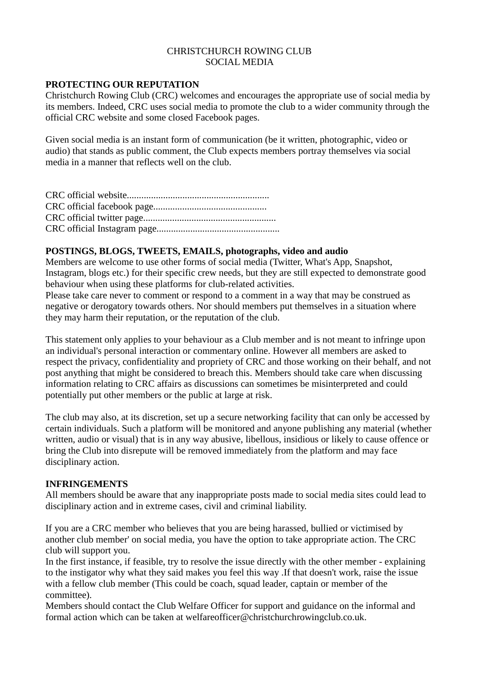## CHRISTCHURCH ROWING CLUB SOCIAL MEDIA

### **PROTECTING OUR REPUTATION**

Christchurch Rowing Club (CRC) welcomes and encourages the appropriate use of social media by its members. Indeed, CRC uses social media to promote the club to a wider community through the official CRC website and some closed Facebook pages.

Given social media is an instant form of communication (be it written, photographic, video or audio) that stands as public comment, the Club expects members portray themselves via social media in a manner that reflects well on the club.

CRC official website........................................................... CRC official facebook page............................................... CRC official twitter page....................................................... CRC official Instagram page...................................................

## **POSTINGS, BLOGS, TWEETS, EMAILS, photographs, video and audio**

Members are welcome to use other forms of social media (Twitter, What's App, Snapshot, Instagram, blogs etc.) for their specific crew needs, but they are still expected to demonstrate good behaviour when using these platforms for club-related activities.

Please take care never to comment or respond to a comment in a way that may be construed as negative or derogatory towards others. Nor should members put themselves in a situation where they may harm their reputation, or the reputation of the club.

This statement only applies to your behaviour as a Club member and is not meant to infringe upon an individual's personal interaction or commentary online. However all members are asked to respect the privacy, confidentiality and propriety of CRC and those working on their behalf, and not post anything that might be considered to breach this. Members should take care when discussing information relating to CRC affairs as discussions can sometimes be misinterpreted and could potentially put other members or the public at large at risk.

The club may also, at its discretion, set up a secure networking facility that can only be accessed by certain individuals. Such a platform will be monitored and anyone publishing any material (whether written, audio or visual) that is in any way abusive, libellous, insidious or likely to cause offence or bring the Club into disrepute will be removed immediately from the platform and may face disciplinary action.

#### **INFRINGEMENTS**

All members should be aware that any inappropriate posts made to social media sites could lead to disciplinary action and in extreme cases, civil and criminal liability.

If you are a CRC member who believes that you are being harassed, bullied or victimised by another club member' on social media, you have the option to take appropriate action. The CRC club will support you.

In the first instance, if feasible, try to resolve the issue directly with the other member - explaining to the instigator why what they said makes you feel this way .If that doesn't work, raise the issue with a fellow club member (This could be coach, squad leader, captain or member of the committee).

Members should contact the Club Welfare Officer for support and guidance on the informal and formal action which can be taken at welfareofficer@christchurchrowingclub.co.uk.